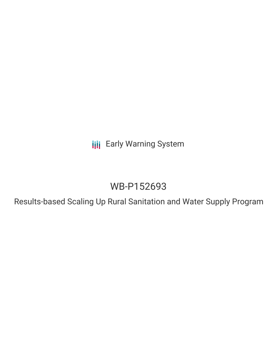**III** Early Warning System

# WB-P152693

Results-based Scaling Up Rural Sanitation and Water Supply Program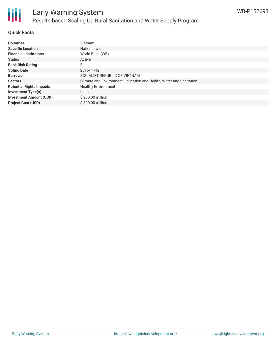

# Early Warning System Results-based Scaling Up Rural Sanitation and Water Supply Program

## **Quick Facts**

| <b>Countries</b>                | <b>Vietnam</b>                                                      |
|---------------------------------|---------------------------------------------------------------------|
| <b>Specific Location</b>        | National-wide                                                       |
| <b>Financial Institutions</b>   | World Bank (WB)                                                     |
| <b>Status</b>                   | Active                                                              |
| <b>Bank Risk Rating</b>         | B                                                                   |
| <b>Voting Date</b>              | 2015-11-12                                                          |
| <b>Borrower</b>                 | SOCIALIST REPUBLIC OF VIETNAM                                       |
| <b>Sectors</b>                  | Climate and Environment, Education and Health, Water and Sanitation |
| <b>Potential Rights Impacts</b> | <b>Healthy Environment</b>                                          |
| <b>Investment Type(s)</b>       | Loan                                                                |
| <b>Investment Amount (USD)</b>  | \$200.00 million                                                    |
| <b>Project Cost (USD)</b>       | \$300.00 million                                                    |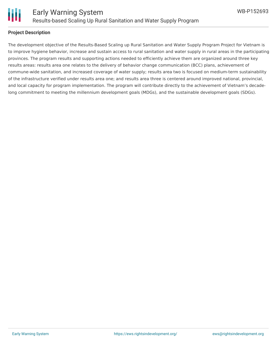

#### **Project Description**

The development objective of the Results-Based Scaling up Rural Sanitation and Water Supply Program Project for Vietnam is to improve hygiene behavior, increase and sustain access to rural sanitation and water supply in rural areas in the participating provinces. The program results and supporting actions needed to efficiently achieve them are organized around three key results areas: results area one relates to the delivery of behavior change communication (BCC) plans, achievement of commune-wide sanitation, and increased coverage of water supply; results area two is focused on medium-term sustainability of the infrastructure verified under results area one; and results area three is centered around improved national, provincial, and local capacity for program implementation. The program will contribute directly to the achievement of Vietnam's decadelong commitment to meeting the millennium development goals (MDGs), and the sustainable development goals (SDGs).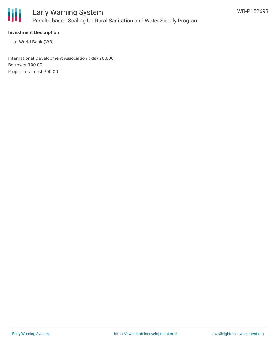

## **Investment Description**

World Bank (WB)

International Development Association (Ida) 200.00 Borrower 100.00 Project total cost 300.00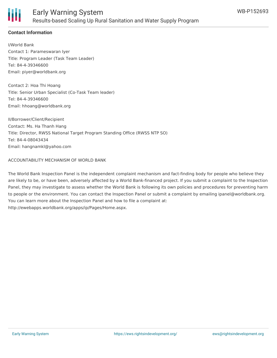

# **Contact Information**

I/World Bank Contact 1: Parameswaran Iyer Title: Program Leader (Task Team Leader) Tel: 84-4-39346600 Email: piyer@worldbank.org

Contact 2: Hoa Thi Hoang Title: Senior Urban Specialist (Co-Task Team leader) Tel: 84-4-39346600 Email: hhoang@worldbank.org

II/Borrower/Client/Recipient Contact: Ms. Ha Thanh Hang Title: Director, RWSS National Target Program Standing Office (RWSS NTP SO) Tel: 84-4-08043434 Email: hangnamkl@yahoo.com

#### ACCOUNTABILITY MECHANISM OF WORLD BANK

The World Bank Inspection Panel is the independent complaint mechanism and fact-finding body for people who believe they are likely to be, or have been, adversely affected by a World Bank-financed project. If you submit a complaint to the Inspection Panel, they may investigate to assess whether the World Bank is following its own policies and procedures for preventing harm to people or the environment. You can contact the Inspection Panel or submit a complaint by emailing ipanel@worldbank.org. You can learn more about the Inspection Panel and how to file a complaint at: http://ewebapps.worldbank.org/apps/ip/Pages/Home.aspx.